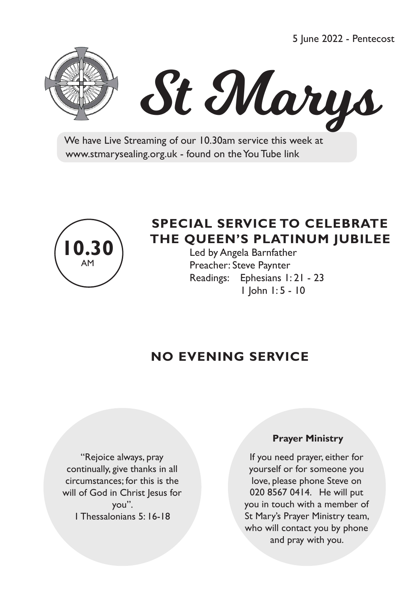5 June 2022 - Pentecost





 We have Live Streaming of our 10.30am service this week at www.stmarysealing.org.uk - found on the You Tube link



# **SPECIAL SERVICE TO CELEBRATE THE QUEEN'S PLATINUM JUBILEE**

 Led by Angela Barnfather Preacher: Steve Paynter Readings: Ephesians 1: 21 - 23 1 John 1: 5 - 10

# **NO EVENING SERVICE**

"Rejoice always, pray continually, give thanks in all circumstances; for this is the will of God in Christ Jesus for you". 1 Thessalonians 5: 16-18

#### **Prayer Ministry**

If you need prayer, either for yourself or for someone you love, please phone Steve on 020 8567 0414. He will put you in touch with a member of St Mary's Prayer Ministry team, who will contact you by phone and pray with you.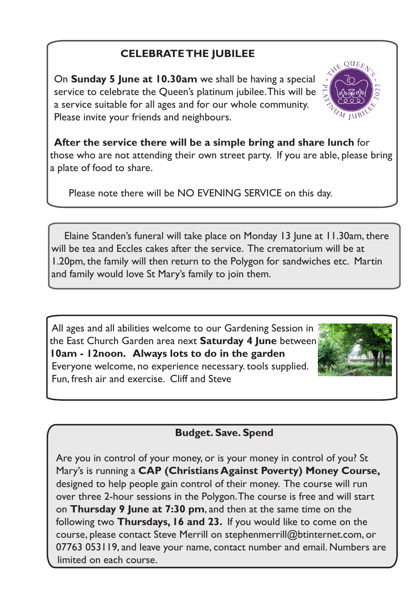## **CELEBRATE THE JUBILEE**

On **Sunday 5 June at 10.30am** we shall be having a special service to celebrate the Queen's platinum jubilee. This will be a service suitable for all ages and for our whole community. Please invite your friends and neighbours.



**After the service there will be a simple bring and share lunch** for those who are not attending their own street party. If you are able, please bring a plate of food to share.

Please note there will be NO EVENING SERVICE on this day.

 Elaine Standen's funeral will take place on Monday 13 June at 11.30am, there will be tea and Eccles cakes after the service. The crematorium will be at 1.20pm, the family will then return to the Polygon for sandwiches etc. Martin and family would love St Mary's family to join them.

All ages and all abilities welcome to our Gardening Session in the East Church Garden area next **Saturday 4 June** between **10am - 12noon. Always lots to do in the garden**  Everyone welcome, no experience necessary. tools supplied. Fun, fresh air and exercise. Cliff and Steve



### **Budget. Save. Spend**

Are you in control of your money, or is your money in control of you? St Mary's is running a **CAP (Christians Against Poverty) Money Course,** designed to help people gain control of their money. The course will run over three 2-hour sessions in the Polygon. The course is free and will start on **Thursday 9 June at 7:30 pm**, and then at the same time on the following two **Thursdays, 16 and 23.** If you would like to come on the course, please contact Steve Merrill on stephenmerrill@btinternet.com, or 07763 053119, and leave your name, contact number and email. Numbers are limited on each course.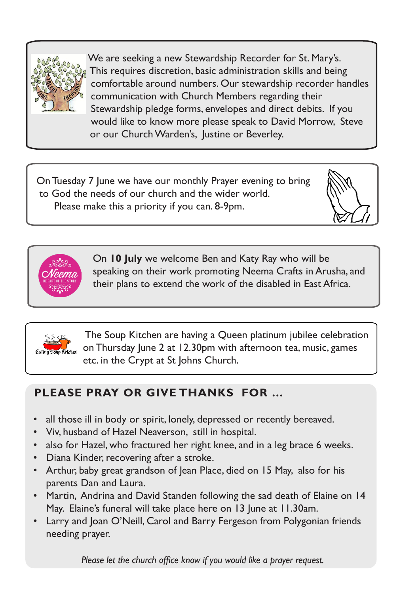

Ξ

We are seeking a new Stewardship Recorder for St. Mary's. This requires discretion, basic administration skills and being comfortable around numbers. Our stewardship recorder handles communication with Church Members regarding their Stewardship pledge forms, envelopes and direct debits. If you would like to know more please speak to David Morrow, Steve or our Church Warden's, Justine or Beverley.

 On Tuesday 7 June we have our monthly Prayer evening to bring to God the needs of our church and the wider world. Please make this a priority if you can. 8-9pm.





 On **10 July** we welcome Ben and Katy Ray who will be speaking on their work promoting Neema Crafts in Arusha, and their plans to extend the work of the disabled in East Africa.



The Soup Kitchen are having a Queen platinum jubilee celebration on Thursday June 2 at 12.30pm with afternoon tea, music, games etc. in the Crypt at St Johns Church.

# **PLEASE PRAY OR GIVE THANKS FOR …**

- all those ill in body or spirit, lonely, depressed or recently bereaved.
- Viv, husband of Hazel Neaverson, still in hospital.
- also for Hazel, who fractured her right knee, and in a leg brace 6 weeks.
- Diana Kinder, recovering after a stroke.
- Arthur, baby great grandson of Jean Place, died on 15 May, also for his parents Dan and Laura.
- Martin, Andrina and David Standen following the sad death of Elaine on 14 May. Elaine's funeral will take place here on 13 June at 11.30am.
- Larry and Joan O'Neill, Carol and Barry Fergeson from Polygonian friends needing prayer.

 *Please let the church office know if you would like a prayer request.*